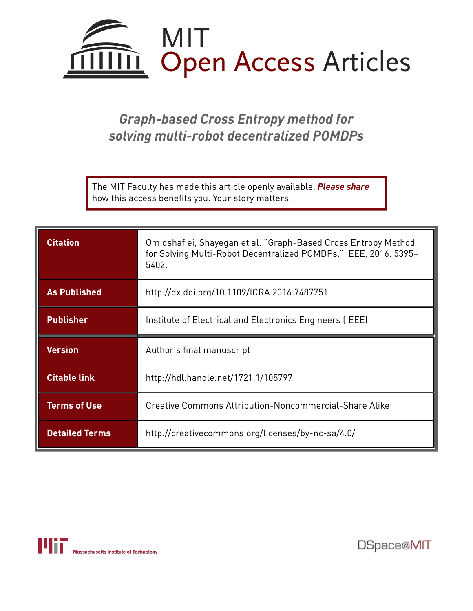

# *Graph-based Cross Entropy method for solving multi-robot decentralized POMDPs*

The MIT Faculty has made this article openly available. *[Please](https://libraries.mit.edu/forms/dspace-oa-articles.html) share* how this access benefits you. Your story matters.

| <b>Citation</b>       | Omidshafiei, Shayegan et al. "Graph-Based Cross Entropy Method<br>for Solving Multi-Robot Decentralized POMDPs." IEEE, 2016. 5395-<br>5402. |
|-----------------------|---------------------------------------------------------------------------------------------------------------------------------------------|
| <b>As Published</b>   | http://dx.doi.org/10.1109/ICRA.2016.7487751                                                                                                 |
| <b>Publisher</b>      | Institute of Electrical and Electronics Engineers (IEEE)                                                                                    |
| <b>Version</b>        | Author's final manuscript                                                                                                                   |
| <b>Citable link</b>   | http://hdl.handle.net/1721.1/105797                                                                                                         |
| <b>Terms of Use</b>   | Creative Commons Attribution-Noncommercial-Share Alike                                                                                      |
| <b>Detailed Terms</b> | http://creativecommons.org/licenses/by-nc-sa/4.0/                                                                                           |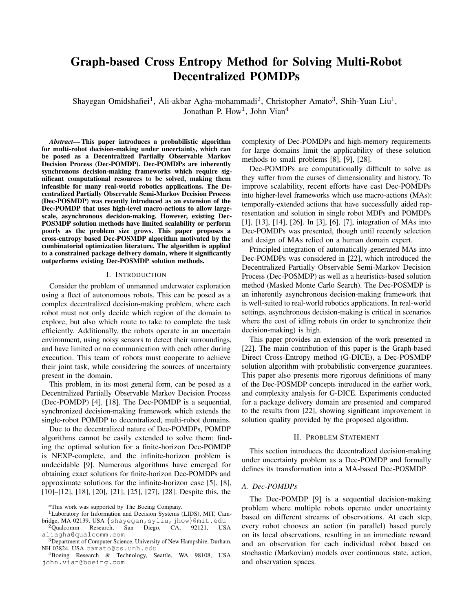# Graph-based Cross Entropy Method for Solving Multi-Robot Decentralized POMDPs

Shayegan Omidshafiei<sup>1</sup>, Ali-akbar Agha-mohammadi<sup>2</sup>, Christopher Amato<sup>3</sup>, Shih-Yuan Liu<sup>1</sup>, Jonathan P.  $\mathrm{How}^1$ , John Vian<sup>4</sup>

*Abstract*— This paper introduces a probabilistic algorithm for multi-robot decision-making under uncertainty, which can be posed as a Decentralized Partially Observable Markov Decision Process (Dec-POMDP). Dec-POMDPs are inherently synchronous decision-making frameworks which require significant computational resources to be solved, making them infeasible for many real-world robotics applications. The Decentralized Partially Observable Semi-Markov Decision Process (Dec-POSMDP) was recently introduced as an extension of the Dec-POMDP that uses high-level macro-actions to allow largescale, asynchronous decision-making. However, existing Dec-POSMDP solution methods have limited scalability or perform poorly as the problem size grows. This paper proposes a cross-entropy based Dec-POSMDP algorithm motivated by the combinatorial optimization literature. The algorithm is applied to a constrained package delivery domain, where it significantly outperforms existing Dec-POSMDP solution methods.

#### I. INTRODUCTION

Consider the problem of unmanned underwater exploration using a fleet of autonomous robots. This can be posed as a complex decentralized decision-making problem, where each robot must not only decide which region of the domain to explore, but also which route to take to complete the task efficiently. Additionally, the robots operate in an uncertain environment, using noisy sensors to detect their surroundings, and have limited or no communication with each other during execution. This team of robots must cooperate to achieve their joint task, while considering the sources of uncertainty present in the domain.

This problem, in its most general form, can be posed as a Decentralized Partially Observable Markov Decision Process (Dec-POMDP) [4], [18]. The Dec-POMDP is a sequential, synchronized decision-making framework which extends the single-robot POMDP to decentralized, multi-robot domains.

Due to the decentralized nature of Dec-POMDPs, POMDP algorithms cannot be easily extended to solve them; finding the optimal solution for a finite-horizon Dec-POMDP is NEXP-complete, and the infinite-horizon problem is undecidable [9]. Numerous algorithms have emerged for obtaining exact solutions for finite-horizon Dec-POMDPs and approximate solutions for the infinite-horizon case [5], [8], [10]–[12], [18], [20], [21], [25], [27], [28]. Despite this, the complexity of Dec-POMDPs and high-memory requirements for large domains limit the applicability of these solution methods to small problems [8], [9], [28].

Dec-POMDPs are computationally difficult to solve as they suffer from the curses of dimensionality and history. To improve scalability, recent efforts have cast Dec-POMDPs into higher-level frameworks which use macro-actions (MAs): temporally-extended actions that have successfully aided representation and solution in single robot MDPs and POMDPs [1], [13], [14], [26]. In [3], [6], [7], integration of MAs into Dec-POMDPs was presented, though until recently selection and design of MAs relied on a human domain expert.

Principled integration of automatically-generated MAs into Dec-POMDPs was considered in [22], which introduced the Decentralized Partially Observable Semi-Markov Decision Process (Dec-POSMDP) as well as a heuristics-based solution method (Masked Monte Carlo Search). The Dec-POSMDP is an inherently asynchronous decision-making framework that is well-suited to real-world robotics applications. In real-world settings, asynchronous decision-making is critical in scenarios where the cost of idling robots (in order to synchronize their decision-making) is high.

This paper provides an extension of the work presented in [22]. The main contribution of this paper is the Graph-based Direct Cross-Entropy method (G-DICE), a Dec-POSMDP solution algorithm with probabilistic convergence guarantees. This paper also presents more rigorous definitions of many of the Dec-POSMDP concepts introduced in the earlier work, and complexity analysis for G-DICE. Experiments conducted for a package delivery domain are presented and compared to the results from [22], showing significant improvement in solution quality provided by the proposed algorithm.

# II. PROBLEM STATEMENT

This section introduces the decentralized decision-making under uncertainty problem as a Dec-POMDP and formally defines its transformation into a MA-based Dec-POSMDP.

#### *A. Dec-POMDPs*

The Dec-POMDP [9] is a sequential decision-making problem where multiple robots operate under uncertainty based on different streams of observations. At each step, every robot chooses an action (in parallel) based purely on its local observations, resulting in an immediate reward and an observation for each individual robot based on stochastic (Markovian) models over continuous state, action, and observation spaces.

<sup>\*</sup>This work was supported by The Boeing Company.

<sup>1</sup>Laboratory for Information and Decision Systems (LIDS), MIT, Cambridge, MA 02139, USA {shayegan, syliu, jhow}@mit.edu

<sup>&</sup>lt;sup>2</sup>Qualcomm Research, San Diego, CA, 92121, USA aliagha@qualcomm.com

<sup>3</sup>Department of Computer Science, University of New Hampshire, Durham, NH 03824, USA camato@cs.unh.edu

<sup>4</sup>Boeing Research & Technology, Seattle, WA 98108, USA john.vian@boeing.com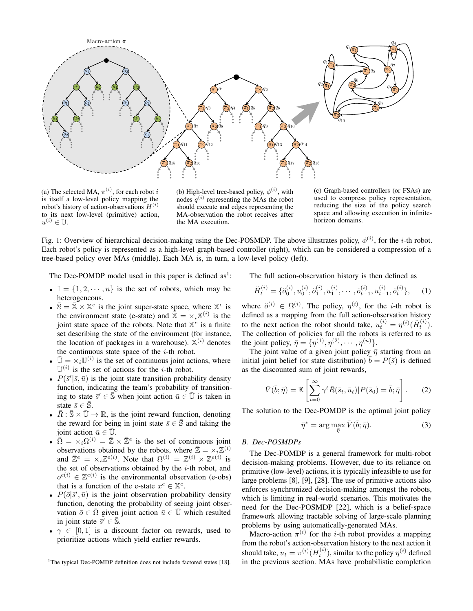<span id="page-2-1"></span>

(a) The selected MA,  $\pi^{(i)}$ , for each robot *i* is itself a low-level policy mapping the robot's history of action-observations  $H^{(i)}$ to its next low-level (primitive) action,  $u^{(i)} \in \mathbb{U}.$ 

(b) High-level tree-based policy,  $\phi^{(i)}$ , with nodes  $q^{(i)}$  representing the MAs the robot should execute and edges representing the MA-observation the robot receives after the MA execution.

(c) Graph-based controllers (or FSAs) are used to compress policy representation, reducing the size of the policy search space and allowing execution in infinitehorizon domains.

Fig. 1: Overview of hierarchical decision-making using the Dec-POSMDP. The above illustrates policy,  $\phi^{(i)}$ , for the *i*-th robot. Each robot's policy is represented as a high-level graph-based controller (right), which can be considered a compression of a tree-based policy over MAs (middle). Each MA is, in turn, a low-level policy (left).

The Dec-POMDP model used in this paper is defined as<sup>[1](#page-2-0)</sup>:

- $\mathbb{I} = \{1, 2, \dots, n\}$  is the set of robots, which may be heterogeneous.
- $\overline{\mathbb{S}} = \overline{\mathbb{X}} \times \mathbb{X}^e$  is the joint super-state space, where  $\mathbb{X}^e$  is the environment state (e-state) and  $\bar{\bar{\mathbb{X}}} = \times_i \mathbb{X}^{(i)}$  is the joint state space of the robots. Note that  $X^e$  is a finite set describing the state of the environment (for instance, the location of packages in a warehouse).  $\mathbb{X}^{(i)}$  denotes the continuous state space of the  $i$ -th robot.
- $\overline{\mathbb{U}} = \times_i \mathbb{U}^{(i)}$  is the set of continuous joint actions, where  $\mathbb{U}^{(i)}$  is the set of actions for the *i*-th robot.
- $P(\bar{s}'|\bar{s}, \bar{u})$  is the joint state transition probability density function, indicating the team's probability of transitioning to state  $\bar{s}' \in \bar{\mathbb{S}}$  when joint action  $\bar{u} \in \bar{\mathbb{U}}$  is taken in state  $\bar{s} \in \bar{\mathbb{S}}$ .
- $\overline{R}$  :  $\overline{\mathbb{S}} \times \overline{\mathbb{U}} \to \mathbb{R}$ , is the joint reward function, denoting the reward for being in joint state  $\bar{s} \in \bar{S}$  and taking the joint action  $\bar{u} \in \bar{U}$ .
- $\overline{\Omega} = \times_i \Omega^{(i)} = \overline{\mathbb{Z}} \times \overline{\mathbb{Z}}^e$  is the set of continuous joint observations obtained by the robots, where  $\bar{Z} = \chi_i Z^{(i)}$ and  $\bar{\mathbb{Z}}^e = \times_i \mathbb{Z}^{e(i)}$ . Note that  $\Omega^{(i)} = \mathbb{Z}^{(i)} \times \mathbb{Z}^{e(i)}$  is the set of observations obtained by the  $i$ -th robot, and  $o^{e(i)} \in \mathbb{Z}^{e(i)}$  is the environmental observation (e-obs) that is a function of the e-state  $x^e \in \mathbb{X}^e$ .
- $P(\bar{o}|\bar{s}', \bar{u})$  is the joint observation probability density function, denoting the probability of seeing joint observation  $\bar{o} \in \bar{\Omega}$  given joint action  $\bar{u} \in \bar{\mathbb{U}}$  which resulted in joint state  $\overline{s}' \in \overline{\mathbb{S}}$ .
- $\gamma \in [0, 1]$  is a discount factor on rewards, used to prioritize actions which yield earlier rewards.

<span id="page-2-0"></span><sup>1</sup>The typical Dec-POMDP definition does not include factored states [18].

The full action-observation history is then defined as

$$
\breve{H}_t^{(i)} = \{ \breve{o}_0^{(i)}, u_0^{(i)}, \breve{o}_1^{(i)}, u_1^{(i)}, \cdots, \breve{o}_{t-1}^{(i)}, u_{t-1}^{(i)}, \breve{o}_t^{(i)} \}, \quad (1)
$$

where  $\check{o}^{(i)} \in \Omega^{(i)}$ . The policy,  $\eta^{(i)}$ , for the *i*-th robot is defined as a mapping from the full action-observation history to the next action the robot should take,  $u_t^{(i)} = \eta^{(i)}(\check{H}_t^{(i)})$ . The collection of policies for all the robots is referred to as the joint policy,  $\bar{\eta} = {\eta^{(1)}, \eta^{(2)}, \cdots, \eta^{(n)}}$ .

The joint value of a given joint policy  $\bar{\eta}$  starting from an initial joint belief (or state distribution)  $\bar{b} = P(\bar{s})$  is defined as the discounted sum of joint rewards,

$$
\bar{V}(\bar{b};\bar{\eta}) = \mathbb{E}\left[\sum_{t=0}^{\infty} \gamma^t \bar{R}(\bar{s}_t, \bar{u}_t) | P(\bar{s}_0) = \bar{b}; \bar{\eta}\right].
$$
 (2)

The solution to the Dec-POMDP is the optimal joint policy

<span id="page-2-2"></span>
$$
\bar{\eta}^* = \arg\max_{\bar{\eta}} \bar{V}(\bar{b}; \bar{\eta}). \tag{3}
$$

# *B. Dec-POSMDPs*

The Dec-POMDP is a general framework for multi-robot decision-making problems. However, due to its reliance on primitive (low-level) actions, it is typically infeasible to use for large problems [8], [9], [28]. The use of primitive actions also enforces synchronized decision-making amongst the robots, which is limiting in real-world scenarios. This motivates the need for the Dec-POSMDP [22], which is a belief-space framework allowing tractable solving of large-scale planning problems by using automatically-generated MAs.

Macro-action  $\pi^{(i)}$  for the *i*-th robot provides a mapping from the robot's action-observation history to the next action it should take,  $u_t = \pi^{(i)}(H_t^{(i)})$ , similar to the policy  $\eta^{(i)}$  defined in the previous section. MAs have probabilistic completion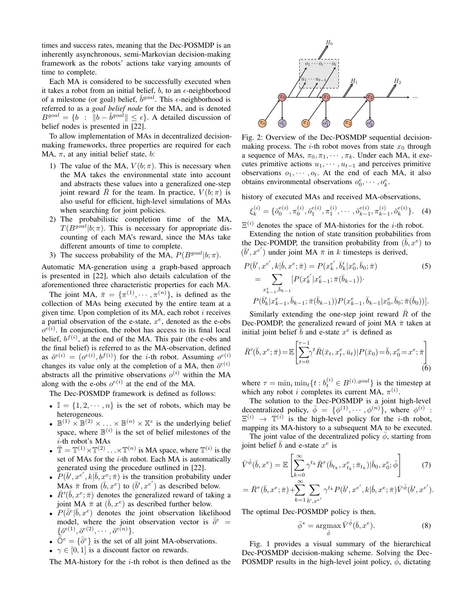times and success rates, meaning that the Dec-POSMDP is an inherently asynchronous, semi-Markovian decision-making framework as the robots' actions take varying amounts of time to complete.

Each MA is considered to be successfully executed when it takes a robot from an initial belief, b, to an  $\epsilon$ -neighborhood of a milestone (or goal) belief,  $\check{b}^{goal}$ . This  $\epsilon$ -neighborhood is referred to as a *goal belief node* for the MA, and is denoted  $B^{goal} = \{b : ||b - \check{b}^{goal}|| \leq \epsilon\}.$  A detailed discussion of belief nodes is presented in [22].

To allow implementation of MAs in decentralized decisionmaking frameworks, three properties are required for each MA,  $\pi$ , at any initial belief state, b:

- 1) The value of the MA,  $V(b; \pi)$ . This is necessary when the MA takes the environmental state into account and abstracts these values into a generalized one-step joint reward R for the team. In practice,  $V (b; \pi)$  is also useful for efficient, high-level simulations of MAs when searching for joint policies.
- 2) The probabilistic completion time of the MA,  $T(B^{goal}|b; \pi)$ . This is necessary for appropriate discounting of each MA's reward, since the MAs take different amounts of time to complete.
- 3) The success probability of the MA,  $P(B^{goal}|b; \pi)$ .

Automatic MA-generation using a graph-based approach is presented in [22], which also details calculation of the aforementioned three characteristic properties for each MA.

The joint MA,  $\bar{\pi} = {\pi^{(1)}, \cdots, \pi^{(n)}}$ , is defined as the collection of MAs being executed by the entire team at a given time. Upon completion of its  $MA$ , each robot  $i$  receives a partial observation of the e-state,  $x^e$ , denoted as the e-obs  $o^{e(i)}$ . In conjunction, the robot has access to its final local belief,  $b^{f(i)}$ , at the end of the MA. This pair (the e-obs and the final belief) is referred to as the MA-observation, defined as  $\ddot{o}^{e(i)} = (o^{e(i)}, b^{f(i)})$  for the *i*-th robot. Assuming  $o^{e(i)}$ changes its value only at the completion of a MA, then  $\delta^{e(i)}$ abstracts all the primitive observations  $o^{(i)}$  within the MA along with the e-obs  $o^{e(i)}$  at the end of the MA.

The Dec-POSMDP framework is defined as follows:

- $\mathbb{I} = \{1, 2, \dots, n\}$  is the set of robots, which may be heterogeneous.
- $\mathbb{B}^{(1)} \times \mathbb{B}^{(2)} \times \ldots \times \mathbb{B}^{(n)} \times \mathbb{X}^e$  is the underlying belief space, where  $\mathbb{B}^{(i)}$  is the set of belief milestones of the i-th robot's MAs
- $\bar{\mathbb{T}} = \mathbb{T}^{(1)} \times \mathbb{T}^{(2)} \dots \times \mathbb{T}^{(n)}$  is MA space, where  $\mathbb{T}^{(i)}$  is the set of MAs for the  $i$ -th robot. Each MA is automatically generated using the procedure outlined in [22].
- $P(\bar{b}', x^{e'}, k | \bar{b}, x^e; \bar{\pi})$  is the transition probability under MAs  $\bar{\pi}$  from  $(\bar{b}, x^e)$  to  $(\bar{b}', x^{e'})$  as described below.
- $\bar{R}^{\tau}(\bar{b}, x^e; \bar{\pi})$  denotes the generalized reward of taking a joint MA  $\bar{\pi}$  at  $(\bar{b}, x^e)$  as described further below.
- $\bullet$   $P(\bar{\delta}^e|\bar{b}, x^e)$  denotes the joint observation likelihood model, where the joint observation vector is  $\bar{\delta}^e$  =  $\{\breve{o}^{e(1)}, \breve{o}^{e(2)}, \cdots, \breve{o}^{e(n)}\}.$
- $\vec{\Phi}^e = {\vec{\delta}^e}$  is the set of all joint MA-observations.
- $\gamma \in [0, 1]$  is a discount factor on rewards.

The MA-history for the  $i$ -th robot is then defined as the

<span id="page-3-0"></span>

Fig. 2: Overview of the Dec-POSMDP sequential decisionmaking process. The *i*-th robot moves from state  $x_0$  through a sequence of MAs,  $\pi_0, \pi_1, \cdots, \pi_k$ . Under each MA, it executes primitive actions  $u_1, \dots, u_{t-1}$  and perceives primitive observations  $o_1, \dots, o_t$ . At the end of each MA, it also obtains environmental observations  $o_0^e, \dots, o_k^e$ .

history of executed MAs and received MA-observations,

$$
\xi_k^{(i)} = \{ \breve{o}_0^{e(i)}, \pi_0^{(i)}, \breve{o}_1^{e(i)}, \pi_1^{(i)}, \cdots, \breve{o}_{k-1}^{e(i)}, \pi_{k-1}^{(i)}, \breve{o}_k^{e(i)} \}.
$$
 (4)

 $\Xi^{(i)}$  denotes the space of MA-histories for the *i*-th robot.

Extending the notion of state transition probabilities from the Dec-POMDP, the transition probability from  $(\bar{b}, x^e)$  to  $(\bar{b}', x^{\epsilon'})$  under joint MA  $\bar{\pi}$  in k timesteps is derived,

$$
P(\bar{b}', x^{e'}, k | \bar{b}, x^{e}; \bar{\pi}) = P(x_{k}^{e'}, \bar{b}'_{k} | x_{0}^{e}, \bar{b}_{0}; \bar{\pi})
$$
\n
$$
= \sum_{x_{k-1}^{e}, \bar{b}_{k-1}} [P(x_{k}^{e'} | x_{k-1}^{e}; \bar{\pi}(\bar{b}_{k-1}))
$$
\n
$$
P(\bar{b}'_{k} | x_{k-1}^{e}, \bar{b}_{k-1}; \bar{\pi}(\bar{b}_{k-1})) P(x_{k-1}^{e}, \bar{b}_{k-1} | x_{0}^{e}, \bar{b}_{0}; \bar{\pi}(\bar{b}_{0}))].
$$
\n(5)

Similarly extending the one-step joint reward  $\overline{R}$  of the Dec-POMDP, the generalized reward of joint MA  $\bar{\pi}$  taken at initial joint belief  $\overline{b}$  and e-state  $x^e$  is defined as

$$
\bar{R}^{\tau}(\bar{b}, x^e; \bar{\pi}) = \mathbb{E}\left[\sum_{t=0}^{\tau-1} \gamma^t \bar{R}(\bar{x}_t, x_t^e, \bar{u}_t) | P(\bar{x}_0) = \bar{b}, x_0^e = x^e; \bar{\pi}\right]
$$
(6)

where  $\tau = \min_i \min_t \{t : b_t^{(i)} \in B^{(i), goal}\}$  is the timestep at which any robot *i* completes its current MA,  $\pi^{(i)}$ .

The solution to the Dec-POSMDP is a joint high-level decentralized policy,  $\overline{\phi} = {\phi^{(1)}, \cdots, \phi^{(n)}}$ , where  $\phi^{(i)}$ :  $\Xi^{(i)} \rightarrow \mathbb{T}^{(i)}$  is the high-level policy for the *i*-th robot, mapping its MA-history to a subsequent MA to be executed.

The joint value of the decentralized policy  $\bar{\phi}$ , starting from joint belief  $\bar{b}$  and e-state  $x^e$  is

$$
\bar{V}^{\bar{\phi}}(\bar{b}, x^e) = \mathbb{E}\left[\sum_{k=0}^{\infty} \gamma^{t_k} \bar{R}^{\tau}(\bar{b}_{t_k}, x^e_{t_k}; \bar{\pi}_{t_k}) | \bar{b}_0, x^e_0; \bar{\phi}\right]
$$
(7)  
=  $\bar{R}^{\tau}(\bar{b}, x^e; \bar{\pi}) + \sum_{k=1}^{\infty} \sum_{\bar{b}', x^{e'}} \gamma^{t_k} P(\bar{b}', x^{e'}, k | \bar{b}, x^e; \bar{\pi}) \bar{V}^{\bar{\phi}}(\bar{b}', x^{e'}).$ 

The optimal Dec-POSMDP policy is then,

<span id="page-3-2"></span><span id="page-3-1"></span>
$$
\bar{\phi}^* = \underset{\bar{\phi}}{\operatorname{argmax}} \, \bar{V}^{\bar{\phi}}(\bar{b}, x^e). \tag{8}
$$

Fig. [1](#page-2-1) provides a visual summary of the hierarchical Dec-POSMDP decision-making scheme. Solving the Dec-POSMDP results in the high-level joint policy,  $\phi$ , dictating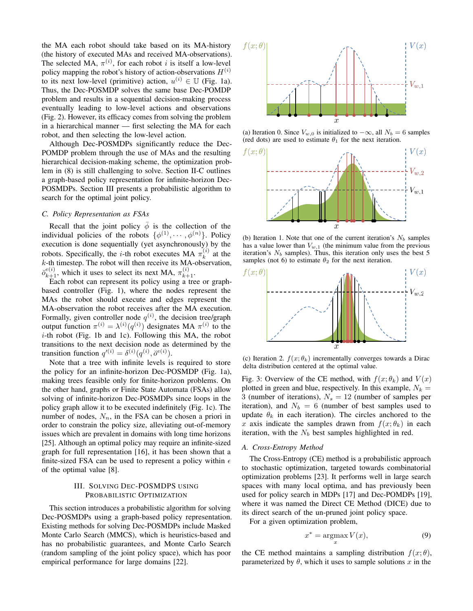the MA each robot should take based on its MA-history (the history of executed MAs and received MA-observations). The selected MA,  $\pi^{(i)}$ , for each robot *i* is itself a low-level policy mapping the robot's history of action-observations  $H^{(i)}$ to its next low-level (primitive) action,  $u^{(i)} \in \mathbb{U}$  (Fig. [1a\)](#page-2-1). Thus, the Dec-POSMDP solves the same base Dec-POMDP problem and results in a sequential decision-making process eventually leading to low-level actions and observations (Fig. [2\)](#page-3-0). However, its efficacy comes from solving the problem in a hierarchical manner — first selecting the MA for each robot, and then selecting the low-level action.

Although Dec-POSMDPs significantly reduce the Dec-POMDP problem through the use of MAs and the resulting hierarchical decision-making scheme, the optimization problem in [\(8\)](#page-3-1) is still challenging to solve. Section [II-C](#page-4-0) outlines a graph-based policy representation for infinite-horizon Dec-POSMDPs. Section [III](#page-4-1) presents a probabilistic algorithm to search for the optimal joint policy.

# <span id="page-4-0"></span>*C. Policy Representation as FSAs*

Recall that the joint policy  $\overline{\phi}$  is the collection of the individual policies of the robots  $\{\phi^{(1)}, \cdots, \phi^{(n)}\}$ . Policy execution is done sequentially (yet asynchronously) by the robots. Specifically, the *i*-th robot executes MA  $\pi_k^{(i)}$  $\binom{n}{k}$  at the k-th timestep. The robot will then receive its MA-observation,  $\check{\sigma}_{k+1}^{e(i)}$ , which it uses to select its next MA,  $\pi_{k+1}^{(i)}$ .

Each robot can represent its policy using a tree or graphbased controller (Fig. [1\)](#page-2-1), where the nodes represent the MAs the robot should execute and edges represent the MA-observation the robot receives after the MA execution. Formally, given controller node  $q^{(i)}$ , the decision tree/graph output function  $\pi^{(i)} = \lambda^{(i)}(q^{(i)})$  designates MA  $\pi^{(i)}$  to the i-th robot (Fig. [1b](#page-2-1) and [1c\)](#page-2-1). Following this MA, the robot transitions to the next decision node as determined by the transition function  $q^{(i)} = \delta^{(i)}(q^{(i)}, \delta^{e(i)})$ .

Note that a tree with infinite levels is required to store the policy for an infinite-horizon Dec-POSMDP (Fig. [1a\)](#page-2-1), making trees feasible only for finite-horizon problems. On the other hand, graphs or Finite State Automata (FSAs) allow solving of infinite-horizon Dec-POSMDPs since loops in the policy graph allow it to be executed indefinitely (Fig. [1c\)](#page-2-1). The number of nodes,  $N_n$ , in the FSA can be chosen a priori in order to constrain the policy size, alleviating out-of-memory issues which are prevalent in domains with long time horizons [25]. Although an optimal policy may require an infinite-sized graph for full representation [16], it has been shown that a finite-sized FSA can be used to represent a policy within  $\epsilon$ of the optimal value [8].

#### III. SOLVING DEC-POSMDPS USING PROBABILISTIC OPTIMIZATION

<span id="page-4-1"></span>This section introduces a probabilistic algorithm for solving Dec-POSMDPs using a graph-based policy representation. Existing methods for solving Dec-POSMDPs include Masked Monte Carlo Search (MMCS), which is heuristics-based and has no probabilistic guarantees, and Monte Carlo Search (random sampling of the joint policy space), which has poor empirical performance for large domains [22].

<span id="page-4-3"></span>

(a) Iteration 0. Since  $V_{w,0}$  is initialized to  $-\infty$ , all  $N_b = 6$  samples (red dots) are used to estimate  $\theta_1$  for the next iteration.



(b) Iteration 1. Note that one of the current iteration's  $N_b$  samples has a value lower than  $V_{w,1}$  (the minimum value from the previous iteration's  $N_b$  samples). Thus, this iteration only uses the best 5 samples (not 6) to estimate  $\theta_2$  for the next iteration.



(c) Iteration 2.  $f(x; \theta_k)$  incrementally converges towards a Dirac delta distribution centered at the optimal value.

Fig. 3: Overview of the CE method, with  $f(x; \theta_k)$  and  $V(x)$ plotted in green and blue, respectively. In this example,  $N_k =$ 3 (number of iterations),  $N_s = 12$  (number of samples per iteration), and  $N_b = 6$  (number of best samples used to update  $\theta_k$  in each iteration). The circles anchored to the x axis indicate the samples drawn from  $f(x; \theta_k)$  in each iteration, with the  $N_b$  best samples highlighted in red.

#### *A. Cross-Entropy Method*

The Cross-Entropy (CE) method is a probabilistic approach to stochastic optimization, targeted towards combinatorial optimization problems [23]. It performs well in large search spaces with many local optima, and has previously been used for policy search in MDPs [17] and Dec-POMDPs [19], where it was named the Direct CE Method (DICE) due to its direct search of the un-pruned joint policy space.

For a given optimization problem,

<span id="page-4-2"></span>
$$
x^* = \underset{x}{\operatorname{argmax}} V(x),\tag{9}
$$

the CE method maintains a sampling distribution  $f(x; \theta)$ , parameterized by  $\theta$ , which it uses to sample solutions x in the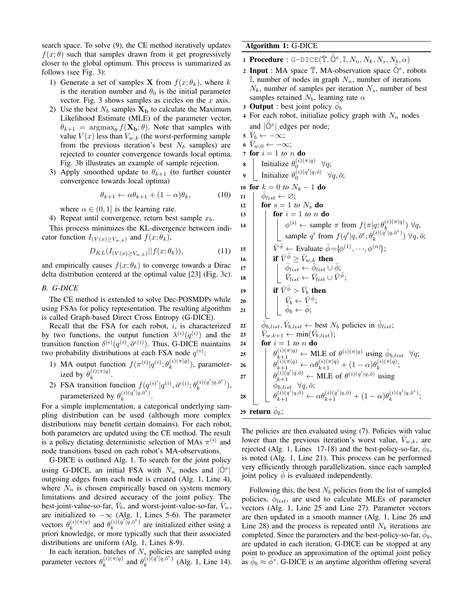search space. To solve [\(9\)](#page-4-2), the CE method iteratively updates  $f(x; \theta)$  such that samples drawn from it get progressively closer to the global optimum. This process is summarized as follows (see Fig. [3\)](#page-4-3):

- 1) Generate a set of samples **X** from  $f(x; \theta_k)$ , where k is the iteration number and  $\theta_0$  is the initial parameter vector. Fig. [3](#page-4-3) shows samples as circles on the  $x$  axis.
- 2) Use the best  $N_b$  samples  $X_b$  to calculate the Maximum Likelihood Estimate (MLE) of the parameter vector,  $\theta_{k+1}$  = argmax<sub> $\theta$ </sub>  $f(\mathbf{X_b}; \theta)$ . Note that samples with value  $V(x)$  less than  $V_{w,k}$  (the worst-performing sample from the previous iteration's best  $N_b$  samples) are rejected to counter convergence towards local optima. Fig. [3b](#page-4-3) illustrates an example of sample rejection.
- 3) Apply smoothed update to  $\theta_{k+1}$  (to further counter convergence towards local optima)

$$
\theta_{k+1} \leftarrow \alpha \theta_{k+1} + (1 - \alpha)\theta_k, \tag{10}
$$

where  $\alpha \in (0, 1]$  is the learning rate.

4) Repeat until convergence, return best sample  $x_b$ .

This process minimizes the KL-divergence between indicator function  $I_{(V(x)\geq V_{w,k})}$  and  $f(x;\theta_k)$ ,

$$
D_{KL}(I_{(V(x)\geq V_{w,k})}||f(x;\theta_k)),\tag{11}
$$

and empirically causes  $f(x; \theta_k)$  to converge towards a Dirac delta distribution centered at the optimal value [23] (Fig. [3c\)](#page-4-3).

# *B. G-DICE*

The CE method is extended to solve Dec-POSMDPs while using FSAs for policy representation. The resulting algorithm is called Graph-based Direct Cross Entropy (G-DICE).

Recall that the FSA for each robot,  $i$ , is characterized by two functions, the output function  $\lambda^{(i)}(q^{(i)})$  and the transition function  $\delta^{(i)}(q^{(i)}, \check{\sigma}^{e(i)})$ . Thus, G-DICE maintains two probability distributions at each FSA node  $q^{(i)}$ :

- 1) MA output function  $f(\pi^{(i)}|q^{(i)};\theta_k^{(i)(\pi|q)})$  $\binom{n}{k}$ , parameterized by  $\theta_k^{(i)(\pi|q)}$ . k
- 2) FSA transition function  $f(q^{(i)'}|q^{(i)},\breve{\sigma}^{e(i)};\theta_k^{(i)(q'|\dot{q},\breve{\sigma}^{e})})$  $\binom{(i)(q||q,o)}{k},$ parameterized by  $\theta_k^{(i)(q' | q, \delta^e)}$  $\frac{u}{k}$   $\frac{q}{q}$   $\frac{q}{q}$  .

For a simple implementation, a categorical underlying sampling distribution can be used (although more complex distributions may benefit certain domains). For each robot, both parameters are updated using the CE method. The result is a policy dictating deterministic selection of MAs  $\pi^{(i)}$  and node transitions based on each robot's MA-observations.

G-DICE is outlined Alg. [1.](#page-5-0) To search for the joint policy using G-DICE, an initial FSA with  $N_n$  nodes and  $|\vec{O}^e|$ outgoing edges from each node is created (Alg. [1,](#page-5-0) Line [4\)](#page-5-1), where  $N_n$  is chosen empirically based on system memory limitations and desired accuracy of the joint policy. The best-joint-value-so-far,  $\bar{V}_b$ , and worst-joint-value-so-far,  $\bar{V}_w$ , are initialized to  $-\infty$  (Alg. [1,](#page-5-0) Lines [5](#page-5-2)[-6\)](#page-5-3). The parameter vectors  $\theta_k^{(i)(\pi|q)}$  $\binom{i}{k}$  and  $\theta_k^{(i)}$   $\binom{q'}{q}$ ,  $\delta^e$ )  $\binom{a}{k}$   $\binom{q}{q}$  are initialized either using a priori knowledge, or more typically such that their associated distributions are uniform (Alg. [1,](#page-5-0) Lines [8](#page-5-4)[-9\)](#page-5-5).

In each iteration, batches of  $N_s$  policies are sampled using parameter vectors  $\theta_k^{(i)(\pi|q)}$  $\int_k^{(i)(\pi|q)}$  and  $\theta_k^{(i)}(q'|q, \delta^e)$  $\binom{u}{k}$  (4) $\binom{q}{k}$  (Alg. [1,](#page-5-0) Line [14\)](#page-5-6).

# Algorithm 1: G-DICE

<span id="page-5-0"></span>1 Procedure : G-DICE $(\bar{\mathbb{T}}, \bar{\breve{\mathbb{O}}}^e, \mathbb{I}, N_n, N_k, N_s, N_b, \alpha)$ 

- **2 Input** : MA space  $\bar{\mathbb{T}}$ , MA-observation space  $\bar{\mathbb{Q}}^e$ , robots I, number of nodes in graph  $N_n$ , number of iterations  $N_k$ , number of samples per iteration  $N_s$ , number of best samples retained  $N_b$ , learning rate  $\alpha$
- **3 Output** : best joint policy  $\bar{\phi}_b$
- <span id="page-5-1"></span>4 For each robot, initialize policy graph with  $N_n$  nodes and  $|\bar{\breve{\mathbb{O}}}^e|$  edges per node;

<span id="page-5-2"></span>
$$
\mathfrak{s}~~ \bar V_b \leftarrow -\infty;
$$

<span id="page-5-14"></span><span id="page-5-6"></span> $11$ 

<span id="page-5-9"></span><span id="page-5-8"></span><span id="page-5-7"></span> $22$ 

<span id="page-5-3"></span>
$$
\qquad \qquad \text{6}\ \bar{V}_{w,0}\gets -\infty;
$$

7 for  $i = 1$  *to*  $n$  **do**  $_{\alpha}(i)(\pi|\alpha)$ 

<span id="page-5-4"></span>
$$
\begin{array}{c}\n\mathbf{8} \quad \text{Initialize } \theta_0^{(i)(\pi|q)} \quad \forall q; \\
\mathbf{0} \quad \text{Initialize } \theta_0^{(i)(q'|q,\delta)} \quad \end{array}
$$

<span id="page-5-5"></span>9 
$$
\perp \text{Initialize } \theta_0^{(i)(q'|q,\delta)} \quad \forall q,\delta;
$$

$$
10 for k = 0 to Nk - 1 do
$$

list ← ∅; <sup>12</sup> for s = 1 *to* N<sup>s</sup> do <sup>13</sup> for i = 1 *to* n do 14 φ (i) ← sample π from f(π|q; θ (i)(π|q) k ) ∀q, sample q 0 from f(q 0 |q, o˘ e ; θ (i)(q 0 |q,o˘ e ) k ) ∀q, o˘; <sup>15</sup> V¯ <sup>φ</sup>¯ ← Evaluate φ¯={φ (1) , · · ·, φ(n)}; <sup>16</sup> if V¯ <sup>φ</sup>¯ ≥ V¯w,k then <sup>17</sup> φ¯ list ← φ¯ list ∪ φ¯; <sup>18</sup> V¯ list ← V¯ list ∪ V¯ <sup>φ</sup>¯ ; <sup>19</sup> if V¯ <sup>φ</sup>¯ > V¯ <sup>b</sup> then <sup>20</sup> V¯ <sup>b</sup> ← V¯ <sup>φ</sup>¯ ; <sup>21</sup> φ¯ <sup>b</sup> ← φ¯; b,list, V¯ b,list ← best N<sup>b</sup> policies in φ¯ list; <sup>23</sup> V¯w,k+1 ← min(V¯ b,list);

<span id="page-5-12"></span><span id="page-5-11"></span><span id="page-5-10"></span>24  
\n25  
\n26  
\n27  
\n28  
\n29  
\n20  
\n21  
\n22  
\n23  
\n24  
\n25  
\n26  
\n28  
\n29  
\n20  
\n21  
\n22  
\n23  
\n24  
\n25  
\n26  
\n27  
\n28  
\n29  
\n20  
\n21  
\n22  
\n23  
\n24  
\n25  
\n26  
\n
$$
\theta_{k+1}^{(i)(\pi|q)} \leftarrow \text{MLE of } \theta^{(i)(q'|\overline{q},\delta)}
$$
  
\n $\theta_{k+1}^{(i)(\overline{q}'|\overline{q},\delta)} \leftarrow \text{MLE of } \theta^{(i)(q'|\overline{q},\delta)}$  using  
\n $\theta_{k+1}^{(i)(\overline{q}'|\overline{q},\delta)} \leftarrow \alpha \theta_{k+1}^{(i)(\overline{q}'|\overline{q},\delta)} + (1-\alpha) \theta_k^{(i)(\overline{q}'|\overline{q},\delta^c)}$ ;  
\n29  
\n20  
\n21  
\n22  
\n23  
\n24  
\n25  
\n26  
\n28  
\n29  
\n20  
\n21  
\n22  
\n23  
\n24  
\n25  
\n26  
\n28  
\n29  
\n20  
\n21  
\n22  
\n23  
\n24  
\n25  
\n26  
\n28  
\n29  
\n20  
\n21  
\n22  
\n23  
\n24  
\n25  
\n26  
\n28  
\n29  
\n20  
\n21  
\n22  
\n23  
\n24  
\n25  
\n26  
\n28  
\n29  
\n20  
\n21  
\n22  
\n23  
\n24  
\n25  
\n26  
\n28  
\n29  
\n20  
\n21  
\n22  
\n23  
\n24  
\n25  
\n26  
\n28  
\n29  
\n20  
\n21  
\n22  
\n23  
\n24  
\n25  
\n26  
\n27  
\n28  
\n29  
\n20  
\n21  
\n22  
\n23  
\n24  
\n25  
\n2

<span id="page-5-13"></span>The policies are then evaluated using [\(7\)](#page-3-2). Policies with value lower than the previous iteration's worst value,  $V_{w,k}$ , are rejected (Alg. [1,](#page-5-0) Lines [17](#page-5-7)[-18\)](#page-5-8) and the best-policy-so-far,  $\bar{\phi}_b$ , is noted (Alg. [1,](#page-5-0) Line [21\)](#page-5-9). This process can be performed very efficiently through parallelization, since each sampled joint policy  $\phi$  is evaluated independently.

Following this, the best  $N_b$  policies from the list of sampled policies,  $\overline{\phi}_{list}$ , are used to calculate MLEs of parameter vectors (Alg. [1,](#page-5-0) Line [25](#page-5-10) and Line [27\)](#page-5-11). Parameter vectors are then updated in a smooth manner (Alg. [1,](#page-5-0) Line [26](#page-5-12) and Line [28\)](#page-5-13) and the process is repeated until  $N_k$  iterations are completed. Since the parameters and the best-policy-so-far,  $\bar{\phi}_b$ , are updated in each iteration, G-DICE can be stopped at any point to produce an approximation of the optimal joint policy as  $\bar{\phi}_b \approx \bar{\phi}^*$ . G-DICE is an anytime algorithm offering several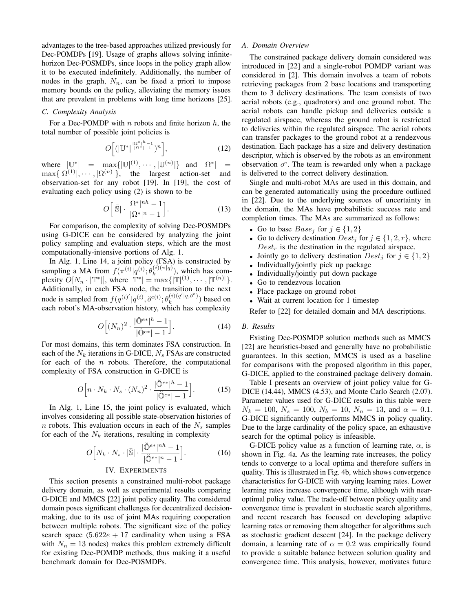advantages to the tree-based approaches utilized previously for Dec-POMDPs [19]. Usage of graphs allows solving infinitehorizon Dec-POSMDPs, since loops in the policy graph allow it to be executed indefinitely. Additionally, the number of nodes in the graph,  $N_n$ , can be fixed a priori to impose memory bounds on the policy, alleviating the memory issues that are prevalent in problems with long time horizons [25].

### *C. Complexity Analysis*

For a Dec-POMDP with  $n$  robots and finite horizon  $h$ , the total number of possible joint policies is

$$
O\Big[ (|\mathbb{U}^*|^{\frac{|\Omega^*|^h-1}{|\Omega^*|-1}})^n \Big],\tag{12}
$$

where  $|\mathbb{U}^*| = \max{\{|\mathbb{U}|^{(1)}, \cdots, |\mathbb{U}^{(n)}|\}}$  and  $|\Omega^*| =$  $\max\{|\Omega^{(1)}|, \cdots, |\Omega^{(n)}|\}\$ , the largest action-set and observation-set for any robot [19]. In [19], the cost of evaluating each policy using [\(2\)](#page-2-2) is shown to be

$$
O\left[|\bar{\mathbb{S}}| \cdot \frac{|\Omega^*|^{nh} - 1}{|\Omega^*|^{n} - 1}\right].
$$
\n(13)

For comparison, the complexity of solving Dec-POSMDPs using G-DICE can be considered by analyzing the joint policy sampling and evaluation steps, which are the most computationally-intensive portions of Alg. [1.](#page-5-0)

In Alg. [1,](#page-5-0) Line [14,](#page-5-6) a joint policy (FSA) is constructed by sampling a MA from  $f(\pi^{(i)}|q^{(i)};\theta_k^{(i)(\pi|q)})$  $\binom{n}{k}$ , which has complexity  $O[N_n \cdot |\mathbb{T}^*|]$ , where  $|\mathbb{T}^*| = \max\{| \mathbb{T} |^{(1)}, \cdots, |\mathbb{T}^{(n)}| \}.$ Additionally, in each FSA node, the transition to the next node is sampled from  $f(q^{(i)'}|q^{(i)},\breve{\sigma}^{e(i)};\theta_k^{(i)(q'|q,\breve{\sigma}^{e})})$  $\binom{[i]}{k}$  based on each robot's MA-observation history, which has complexity

$$
O\Big[(N_n)^2 \cdot \frac{|\breve{\mathbb{O}}^{e*}|^h - 1}{|\breve{\mathbb{O}}^{e*}| - 1}\Big].\tag{14}
$$

For most domains, this term dominates FSA construction. In each of the  $N_k$  iterations in G-DICE,  $N_s$  FSAs are constructed for each of the  $n$  robots. Therefore, the computational complexity of FSA construction in G-DICE is

$$
O\Big[n \cdot N_k \cdot N_s \cdot (N_n)^2 \cdot \frac{|\bullet^{e*}|^h - 1}{|\bullet^{e*}| - 1}\Big].\tag{15}
$$

In Alg. [1,](#page-5-0) Line [15,](#page-5-14) the joint policy is evaluated, which involves considering all possible state-observation histories of n robots. This evaluation occurs in each of the  $N_s$  samples for each of the  $N_k$  iterations, resulting in complexity

$$
O\Big[N_k \cdot N_s \cdot |\bar{\mathbb{S}}| \cdot \frac{|\tilde{\mathbb{O}}^{e*}|^{nh} - 1}{|\tilde{\mathbb{O}}^{e*}|^n - 1}\Big].\tag{16}
$$

# IV. EXPERIMENTS

This section presents a constrained multi-robot package delivery domain, as well as experimental results comparing G-DICE and MMCS [22] joint policy quality. The considered domain poses significant challenges for decentralized decisionmaking, due to its use of joint MAs requiring cooperation between multiple robots. The significant size of the policy search space  $(5.622e + 17$  cardinality when using a FSA with  $N_n = 13$  nodes) makes this problem extremely difficult for existing Dec-POMDP methods, thus making it a useful benchmark domain for Dec-POSMDPs.

# *A. Domain Overview*

The constrained package delivery domain considered was introduced in [22] and a single-robot POMDP variant was considered in [2]. This domain involves a team of robots retrieving packages from 2 base locations and transporting them to 3 delivery destinations. The team consists of two aerial robots (e.g., quadrotors) and one ground robot. The aerial robots can handle pickup and deliveries outside a regulated airspace, whereas the ground robot is restricted to deliveries within the regulated airspace. The aerial robots can transfer packages to the ground robot at a rendezvous destination. Each package has a size and delivery destination descriptor, which is observed by the robots as an environment observation  $o^e$ . The team is rewarded only when a package is delivered to the correct delivery destination.

Single and multi-robot MAs are used in this domain, and can be generated automatically using the procedure outlined in [22]. Due to the underlying sources of uncertainty in the domain, the MAs have probabilistic success rate and completion times. The MAs are summarized as follows:

- Go to base  $Base_j$  for  $j \in \{1,2\}$
- Go to delivery destination  $Dest_j$  for  $j \in \{1, 2, r\}$ , where  $Dest<sub>r</sub>$  is the destination in the regulated airspace.
- Jointly go to delivery destination  $Dest_j$  for  $j \in \{1,2\}$
- Individually/jointly pick up package
- Individually/jointly put down package
- Go to rendezvous location
- Place package on ground robot
- Wait at current location for 1 timestep

Refer to [22] for detailed domain and MA descriptions.

### *B. Results*

Existing Dec-POSMDP solution methods such as MMCS [22] are heuristics-based and generally have no probabilistic guarantees. In this section, MMCS is used as a baseline for comparisons with the proposed algorithm in this paper, G-DICE, applied to the constrained package delivery domain.

Table [I](#page-7-0) presents an overview of joint policy value for G-DICE (14.44), MMCS (4.53), and Monte Carlo Search (2.07). Parameter values used for G-DICE results in this table were  $N_k = 100$ ,  $N_s = 100$ ,  $N_b = 10$ ,  $N_n = 13$ , and  $\alpha = 0.1$ . G-DICE significantly outperforms MMCS in policy quality. Due to the large cardinality of the policy space, an exhaustive search for the optimal policy is infeasible.

G-DICE policy value as a function of learning rate,  $\alpha$ , is shown in Fig. [4a.](#page-7-1) As the learning rate increases, the policy tends to converge to a local optima and therefore suffers in quality. This is illustrated in Fig. [4b,](#page-7-1) which shows convergence characteristics for G-DICE with varying learning rates. Lower learning rates increase convergence time, although with nearoptimal policy value. The trade-off between policy quality and convergence time is prevalent in stochastic search algorithms, and recent research has focused on developing adaptive learning rates or removing them altogether for algorithms such as stochastic gradient descent [24]. In the package delivery domain, a learning rate of  $\alpha = 0.2$  was empirically found to provide a suitable balance between solution quality and convergence time. This analysis, however, motivates future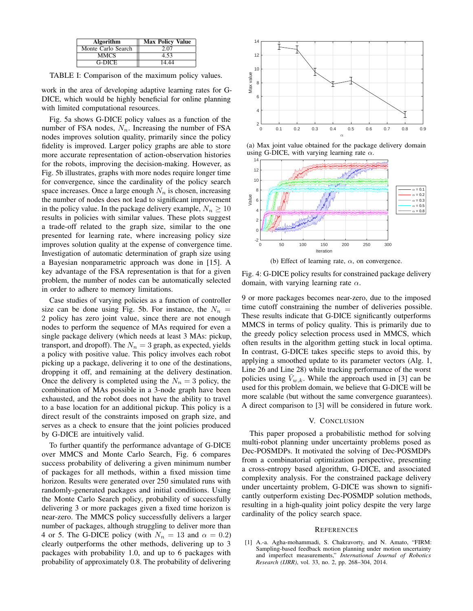<span id="page-7-0"></span>

| <b>Algorithm</b>   | <b>Max Policy Value</b> |
|--------------------|-------------------------|
| Monte Carlo Search | 2.07                    |
| <b>MMCS</b>        | 4.53                    |
| <b>G-DICE</b>      | 14 44                   |

TABLE I: Comparison of the maximum policy values.

work in the area of developing adaptive learning rates for G-DICE, which would be highly beneficial for online planning with limited computational resources.

Fig. [5a](#page-8-0) shows G-DICE policy values as a function of the number of FSA nodes,  $N_n$ . Increasing the number of FSA nodes improves solution quality, primarily since the policy fidelity is improved. Larger policy graphs are able to store more accurate representation of action-observation histories for the robots, improving the decision-making. However, as Fig. [5b](#page-8-0) illustrates, graphs with more nodes require longer time for convergence, since the cardinality of the policy search space increases. Once a large enough  $N_n$  is chosen, increasing the number of nodes does not lead to significant improvement in the policy value. In the package delivery example,  $N_n \geq 10$ results in policies with similar values. These plots suggest a trade-off related to the graph size, similar to the one presented for learning rate, where increasing policy size improves solution quality at the expense of convergence time. Investigation of automatic determination of graph size using a Bayesian nonparametric approach was done in [15]. A key advantage of the FSA representation is that for a given problem, the number of nodes can be automatically selected in order to adhere to memory limitations.

Case studies of varying policies as a function of controller size can be done using Fig. [5b.](#page-8-0) For instance, the  $N_n =$ 2 policy has zero joint value, since there are not enough nodes to perform the sequence of MAs required for even a single package delivery (which needs at least 3 MAs: pickup, transport, and dropoff). The  $N_n = 3$  graph, as expected, yields a policy with positive value. This policy involves each robot picking up a package, delivering it to one of the destinations, dropping it off, and remaining at the delivery destination. Once the delivery is completed using the  $N_n = 3$  policy, the combination of MAs possible in a 3-node graph have been exhausted, and the robot does not have the ability to travel to a base location for an additional pickup. This policy is a direct result of the constraints imposed on graph size, and serves as a check to ensure that the joint policies produced by G-DICE are intuitively valid.

To further quantify the performance advantage of G-DICE over MMCS and Monte Carlo Search, Fig. [6](#page-8-1) compares success probability of delivering a given minimum number of packages for all methods, within a fixed mission time horizon. Results were generated over 250 simulated runs with randomly-generated packages and initial conditions. Using the Monte Carlo Search policy, probability of successfully delivering 3 or more packages given a fixed time horizon is near-zero. The MMCS policy successfully delivers a larger number of packages, although struggling to deliver more than 4 or 5. The G-DICE policy (with  $N_n = 13$  and  $\alpha = 0.2$ ) clearly outperforms the other methods, delivering up to 3 packages with probability 1.0, and up to 6 packages with probability of approximately 0.8. The probability of delivering

<span id="page-7-1"></span>

(a) Max joint value obtained for the package delivery domain using G-DICE, with varying learning rate  $\alpha$ .



(b) Effect of learning rate,  $\alpha$ , on convergence.

Fig. 4: G-DICE policy results for constrained package delivery domain, with varying learning rate  $\alpha$ .

9 or more packages becomes near-zero, due to the imposed time cutoff constraining the number of deliveries possible. These results indicate that G-DICE significantly outperforms MMCS in terms of policy quality. This is primarily due to the greedy policy selection process used in MMCS, which often results in the algorithm getting stuck in local optima. In contrast, G-DICE takes specific steps to avoid this, by applying a smoothed update to its parameter vectors (Alg. [1,](#page-5-0) Line [26](#page-5-12) and Line [28\)](#page-5-13) while tracking performance of the worst policies using  $\bar{V}_{w,k}$ . While the approach used in [3] can be used for this problem domain, we believe that G-DICE will be more scalable (but without the same convergence guarantees). A direct comparison to [3] will be considered in future work.

### V. CONCLUSION

This paper proposed a probabilistic method for solving multi-robot planning under uncertainty problems posed as Dec-POSMDPs. It motivated the solving of Dec-POSMDPs from a combinatorial optimization perspective, presenting a cross-entropy based algorithm, G-DICE, and associated complexity analysis. For the constrained package delivery under uncertainty problem, G-DICE was shown to significantly outperform existing Dec-POSMDP solution methods, resulting in a high-quality joint policy despite the very large cardinality of the policy search space.

#### **REFERENCES**

[1] A.-a. Agha-mohammadi, S. Chakravorty, and N. Amato, "FIRM: Sampling-based feedback motion planning under motion uncertainty and imperfect measurements," *International Journal of Robotics Research (IJRR)*, vol. 33, no. 2, pp. 268–304, 2014.